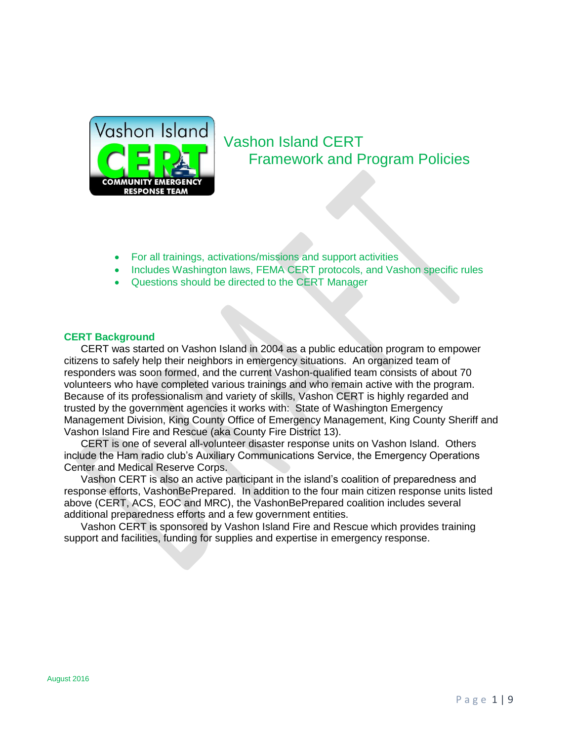

# Vashon Island CERT Framework and Program Policies

- For all trainings, activations/missions and support activities
- Includes Washington laws, FEMA CERT protocols, and Vashon specific rules
- Questions should be directed to the CERT Manager

#### **CERT Background**

CERT was started on Vashon Island in 2004 as a public education program to empower citizens to safely help their neighbors in emergency situations. An organized team of responders was soon formed, and the current Vashon-qualified team consists of about 70 volunteers who have completed various trainings and who remain active with the program. Because of its professionalism and variety of skills, Vashon CERT is highly regarded and trusted by the government agencies it works with: State of Washington Emergency Management Division, King County Office of Emergency Management, King County Sheriff and Vashon Island Fire and Rescue (aka County Fire District 13).

CERT is one of several all-volunteer disaster response units on Vashon Island. Others include the Ham radio club's Auxiliary Communications Service, the Emergency Operations Center and Medical Reserve Corps.

Vashon CERT is also an active participant in the island's coalition of preparedness and response efforts, VashonBePrepared. In addition to the four main citizen response units listed above (CERT, ACS, EOC and MRC), the VashonBePrepared coalition includes several additional preparedness efforts and a few government entities.

Vashon CERT is sponsored by Vashon Island Fire and Rescue which provides training support and facilities, funding for supplies and expertise in emergency response.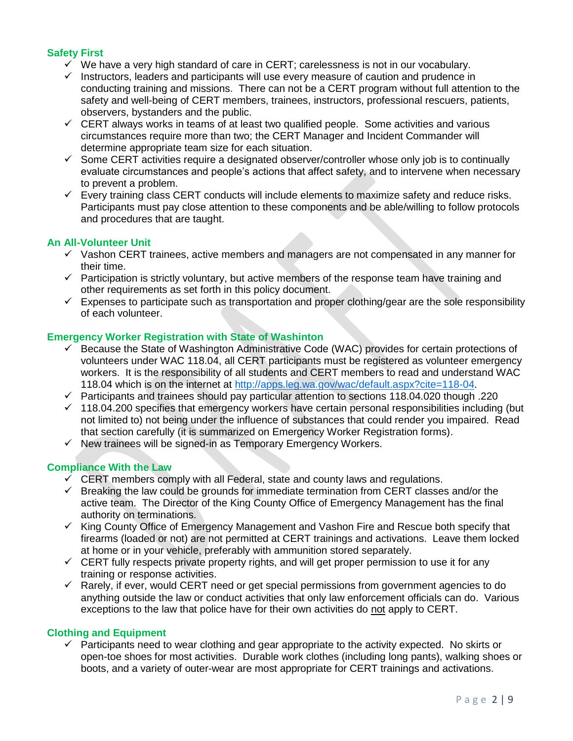# **Safety First**

- $\checkmark$  We have a very high standard of care in CERT; carelessness is not in our vocabulary.
- $\checkmark$  Instructors, leaders and participants will use every measure of caution and prudence in conducting training and missions. There can not be a CERT program without full attention to the safety and well-being of CERT members, trainees, instructors, professional rescuers, patients, observers, bystanders and the public.
- $\checkmark$  CERT always works in teams of at least two qualified people. Some activities and various circumstances require more than two; the CERT Manager and Incident Commander will determine appropriate team size for each situation.
- $\checkmark$  Some CERT activities require a designated observer/controller whose only job is to continually evaluate circumstances and people's actions that affect safety, and to intervene when necessary to prevent a problem.
- $\checkmark$  Every training class CERT conducts will include elements to maximize safety and reduce risks. Participants must pay close attention to these components and be able/willing to follow protocols and procedures that are taught.

### **An All-Volunteer Unit**

- $\checkmark$  Vashon CERT trainees, active members and managers are not compensated in any manner for their time.
- $\checkmark$  Participation is strictly voluntary, but active members of the response team have training and other requirements as set forth in this policy document.
- $\checkmark$  Expenses to participate such as transportation and proper clothing/gear are the sole responsibility of each volunteer.

#### **Emergency Worker Registration with State of Washinton**

- $\checkmark$  Because the State of Washington Administrative Code (WAC) provides for certain protections of volunteers under WAC 118.04, all CERT participants must be registered as volunteer emergency workers. It is the responsibility of all students and CERT members to read and understand WAC 118.04 which is on the internet at [http://apps.leg.wa.gov/wac/default.aspx?cite=118-04.](http://apps.leg.wa.gov/wac/default.aspx?cite=118-04)
- $\checkmark$  Participants and trainees should pay particular attention to sections 118.04.020 though .220
- $\checkmark$  118.04.200 specifies that emergency workers have certain personal responsibilities including (but not limited to) not being under the influence of substances that could render you impaired. Read that section carefully (it is summarized on Emergency Worker Registration forms).
- $\checkmark$  New trainees will be signed-in as Temporary Emergency Workers.

#### **Compliance With the Law**

- $\checkmark$  CERT members comply with all Federal, state and county laws and regulations.
- $\checkmark$  Breaking the law could be grounds for immediate termination from CERT classes and/or the active team. The Director of the King County Office of Emergency Management has the final authority on terminations.
- $\checkmark$  King County Office of Emergency Management and Vashon Fire and Rescue both specify that firearms (loaded or not) are not permitted at CERT trainings and activations. Leave them locked at home or in your vehicle, preferably with ammunition stored separately.
- $\checkmark$  CERT fully respects private property rights, and will get proper permission to use it for any training or response activities.
- $\checkmark$  Rarely, if ever, would CERT need or get special permissions from government agencies to do anything outside the law or conduct activities that only law enforcement officials can do. Various exceptions to the law that police have for their own activities do not apply to CERT.

#### **Clothing and Equipment**

 $\checkmark$  Participants need to wear clothing and gear appropriate to the activity expected. No skirts or open-toe shoes for most activities. Durable work clothes (including long pants), walking shoes or boots, and a variety of outer-wear are most appropriate for CERT trainings and activations.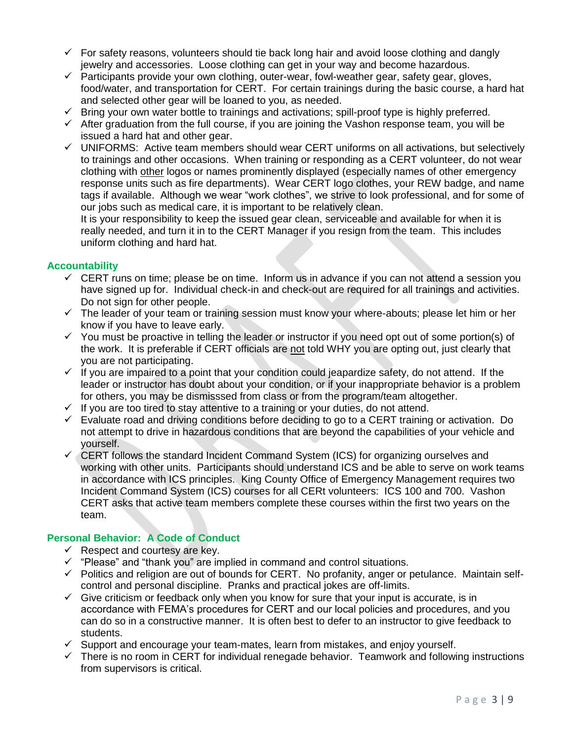- $\checkmark$  For safety reasons, volunteers should tie back long hair and avoid loose clothing and dangly jewelry and accessories. Loose clothing can get in your way and become hazardous.
- $\checkmark$  Participants provide your own clothing, outer-wear, fowl-weather gear, safety gear, gloves, food/water, and transportation for CERT. For certain trainings during the basic course, a hard hat and selected other gear will be loaned to you, as needed.
- $\checkmark$  Bring your own water bottle to trainings and activations; spill-proof type is highly preferred.
- $\checkmark$  After graduation from the full course, if you are joining the Vashon response team, you will be issued a hard hat and other gear.
- $\checkmark$  UNIFORMS: Active team members should wear CERT uniforms on all activations, but selectively to trainings and other occasions. When training or responding as a CERT volunteer, do not wear clothing with other logos or names prominently displayed (especially names of other emergency response units such as fire departments). Wear CERT logo clothes, your REW badge, and name tags if available. Although we wear "work clothes", we strive to look professional, and for some of our jobs such as medical care, it is important to be relatively clean.

It is your responsibility to keep the issued gear clean, serviceable and available for when it is really needed, and turn it in to the CERT Manager if you resign from the team. This includes uniform clothing and hard hat.

# **Accountability**

- $\checkmark$  CERT runs on time; please be on time. Inform us in advance if you can not attend a session you have signed up for. Individual check-in and check-out are required for all trainings and activities. Do not sign for other people.
- $\checkmark$  The leader of your team or training session must know your where-abouts; please let him or her know if you have to leave early.
- $\checkmark$  You must be proactive in telling the leader or instructor if you need opt out of some portion(s) of the work. It is preferable if CERT officials are not told WHY you are opting out, just clearly that you are not participating.
- $\checkmark$  If you are impaired to a point that your condition could jeapardize safety, do not attend. If the leader or instructor has doubt about your condition, or if your inappropriate behavior is a problem for others, you may be dismisssed from class or from the program/team altogether.
- $\checkmark$  If you are too tired to stay attentive to a training or your duties, do not attend.
- $\checkmark$  Evaluate road and driving conditions before deciding to go to a CERT training or activation. Do not attempt to drive in hazardous conditions that are beyond the capabilities of your vehicle and yourself.
- $\checkmark$  CERT follows the standard Incident Command System (ICS) for organizing ourselves and working with other units. Participants should understand ICS and be able to serve on work teams in accordance with ICS principles. King County Office of Emergency Management requires two Incident Command System (ICS) courses for all CERt volunteers: ICS 100 and 700. Vashon CERT asks that active team members complete these courses within the first two years on the team.

# **Personal Behavior: A Code of Conduct**

- $\checkmark$  Respect and courtesy are key.
- $\checkmark$  "Please" and "thank you" are implied in command and control situations.
- $\checkmark$  Politics and religion are out of bounds for CERT. No profanity, anger or petulance. Maintain selfcontrol and personal discipline. Pranks and practical jokes are off-limits.
- $\checkmark$  Give criticism or feedback only when you know for sure that your input is accurate, is in accordance with FEMA's procedures for CERT and our local policies and procedures, and you can do so in a constructive manner. It is often best to defer to an instructor to give feedback to students.
- $\checkmark$  Support and encourage your team-mates, learn from mistakes, and enjoy yourself.
- $\checkmark$  There is no room in CERT for individual renegade behavior. Teamwork and following instructions from supervisors is critical.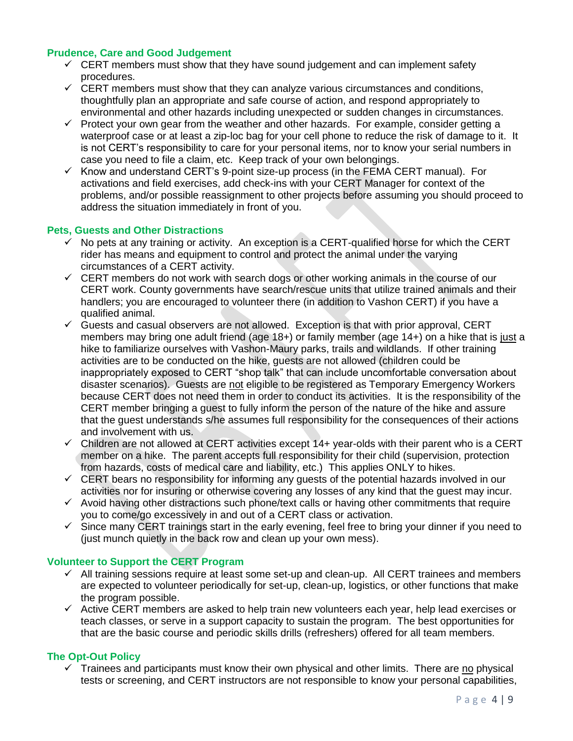# **Prudence, Care and Good Judgement**

- $\checkmark$  CERT members must show that they have sound judgement and can implement safety procedures.
- $\checkmark$  CERT members must show that they can analyze various circumstances and conditions, thoughtfully plan an appropriate and safe course of action, and respond appropriately to environmental and other hazards including unexpected or sudden changes in circumstances.
- $\checkmark$  Protect your own gear from the weather and other hazards. For example, consider getting a waterproof case or at least a zip-loc bag for your cell phone to reduce the risk of damage to it. It is not CERT's responsibility to care for your personal items, nor to know your serial numbers in case you need to file a claim, etc. Keep track of your own belongings.
- $\checkmark$  Know and understand CERT's 9-point size-up process (in the FEMA CERT manual). For activations and field exercises, add check-ins with your CERT Manager for context of the problems, and/or possible reassignment to other projects before assuming you should proceed to address the situation immediately in front of you.

## **Pets, Guests and Other Distractions**

- $\checkmark$  No pets at any training or activity. An exception is a CERT-qualified horse for which the CERT rider has means and equipment to control and protect the animal under the varying circumstances of a CERT activity.
- $\checkmark$  CERT members do not work with search dogs or other working animals in the course of our CERT work. County governments have search/rescue units that utilize trained animals and their handlers; you are encouraged to volunteer there (in addition to Vashon CERT) if you have a qualified animal.
- $\checkmark$  Guests and casual observers are not allowed. Exception is that with prior approval, CERT members may bring one adult friend (age 18+) or family member (age 14+) on a hike that is just a hike to familiarize ourselves with Vashon-Maury parks, trails and wildlands. If other training activities are to be conducted on the hike, guests are not allowed (children could be inappropriately exposed to CERT "shop talk" that can include uncomfortable conversation about disaster scenarios). Guests are not eligible to be registered as Temporary Emergency Workers because CERT does not need them in order to conduct its activities. It is the responsibility of the CERT member bringing a guest to fully inform the person of the nature of the hike and assure that the guest understands s/he assumes full responsibility for the consequences of their actions and involvement with us.
- $\checkmark$  Children are not allowed at CERT activities except 14+ year-olds with their parent who is a CERT member on a hike. The parent accepts full responsibility for their child (supervision, protection from hazards, costs of medical care and liability, etc.) This applies ONLY to hikes.
- $\checkmark$  CERT bears no responsibility for informing any guests of the potential hazards involved in our activities nor for insuring or otherwise covering any losses of any kind that the guest may incur.
- $\checkmark$  Avoid having other distractions such phone/text calls or having other commitments that require you to come/go excessively in and out of a CERT class or activation.
- $\checkmark$  Since many CERT trainings start in the early evening, feel free to bring your dinner if you need to (just munch quietly in the back row and clean up your own mess).

#### **Volunteer to Support the CERT Program**

- $\checkmark$  All training sessions require at least some set-up and clean-up. All CERT trainees and members are expected to volunteer periodically for set-up, clean-up, logistics, or other functions that make the program possible.
- $\checkmark$  Active CERT members are asked to help train new volunteers each year, help lead exercises or teach classes, or serve in a support capacity to sustain the program. The best opportunities for that are the basic course and periodic skills drills (refreshers) offered for all team members.

#### **The Opt-Out Policy**

 $\checkmark$  Trainees and participants must know their own physical and other limits. There are no physical tests or screening, and CERT instructors are not responsible to know your personal capabilities,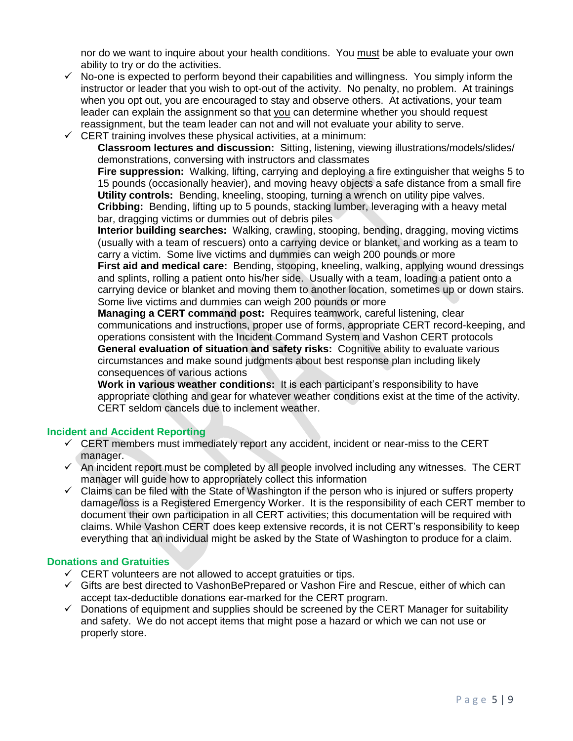nor do we want to inquire about your health conditions. You must be able to evaluate your own ability to try or do the activities.

- $\checkmark$  No-one is expected to perform beyond their capabilities and willingness. You simply inform the instructor or leader that you wish to opt-out of the activity. No penalty, no problem. At trainings when you opt out, you are encouraged to stay and observe others. At activations, your team leader can explain the assignment so that you can determine whether you should request reassignment, but the team leader can not and will not evaluate your ability to serve.
- $\checkmark$  CERT training involves these physical activities, at a minimum:

**Classroom lectures and discussion:** Sitting, listening, viewing illustrations/models/slides/ demonstrations, conversing with instructors and classmates

**Fire suppression:** Walking, lifting, carrying and deploying a fire extinguisher that weighs 5 to 15 pounds (occasionally heavier), and moving heavy objects a safe distance from a small fire **Utility controls:** Bending, kneeling, stooping, turning a wrench on utility pipe valves. **Cribbing:** Bending, lifting up to 5 pounds, stacking lumber, leveraging with a heavy metal bar, dragging victims or dummies out of debris piles

**Interior building searches:** Walking, crawling, stooping, bending, dragging, moving victims (usually with a team of rescuers) onto a carrying device or blanket, and working as a team to carry a victim. Some live victims and dummies can weigh 200 pounds or more

**First aid and medical care:** Bending, stooping, kneeling, walking, applying wound dressings and splints, rolling a patient onto his/her side. Usually with a team, loading a patient onto a carrying device or blanket and moving them to another location, sometimes up or down stairs. Some live victims and dummies can weigh 200 pounds or more

**Managing a CERT command post:** Requires teamwork, careful listening, clear communications and instructions, proper use of forms, appropriate CERT record-keeping, and operations consistent with the Incident Command System and Vashon CERT protocols **General evaluation of situation and safety risks:** Cognitive ability to evaluate various circumstances and make sound judgments about best response plan including likely consequences of various actions

**Work in various weather conditions:** It is each participant's responsibility to have appropriate clothing and gear for whatever weather conditions exist at the time of the activity. CERT seldom cancels due to inclement weather.

# **Incident and Accident Reporting**

- $\checkmark$  CERT members must immediately report any accident, incident or near-miss to the CERT manager.
- $\checkmark$  An incident report must be completed by all people involved including any witnesses. The CERT manager will guide how to appropriately collect this information
- $\checkmark$  Claims can be filed with the State of Washington if the person who is injured or suffers property damage/loss is a Registered Emergency Worker. It is the responsibility of each CERT member to document their own participation in all CERT activities; this documentation will be required with claims. While Vashon CERT does keep extensive records, it is not CERT's responsibility to keep everything that an individual might be asked by the State of Washington to produce for a claim.

# **Donations and Gratuities**

- $\checkmark$  CERT volunteers are not allowed to accept gratuities or tips.
- $\checkmark$  Gifts are best directed to VashonBePrepared or Vashon Fire and Rescue, either of which can accept tax-deductible donations ear-marked for the CERT program.
- $\checkmark$  Donations of equipment and supplies should be screened by the CERT Manager for suitability and safety. We do not accept items that might pose a hazard or which we can not use or properly store.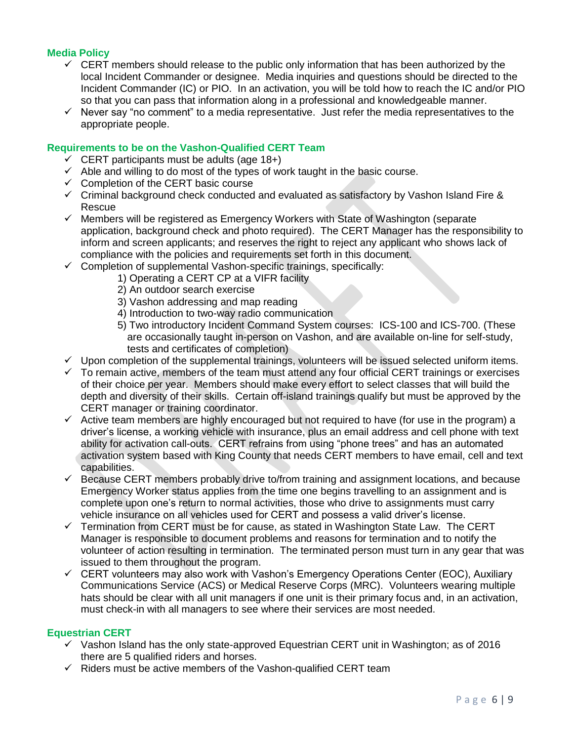# **Media Policy**

- $\checkmark$  CERT members should release to the public only information that has been authorized by the local Incident Commander or designee. Media inquiries and questions should be directed to the Incident Commander (IC) or PIO. In an activation, you will be told how to reach the IC and/or PIO so that you can pass that information along in a professional and knowledgeable manner.
- $\checkmark$  Never say "no comment" to a media representative. Just refer the media representatives to the appropriate people.

#### **Requirements to be on the Vashon-Qualified CERT Team**

- $\checkmark$  CERT participants must be adults (age 18+)
- $\checkmark$  Able and willing to do most of the types of work taught in the basic course.
- $\checkmark$  Completion of the CERT basic course
- $\checkmark$  Criminal background check conducted and evaluated as satisfactory by Vashon Island Fire & Rescue
- $\checkmark$  Members will be registered as Emergency Workers with State of Washington (separate application, background check and photo required). The CERT Manager has the responsibility to inform and screen applicants; and reserves the right to reject any applicant who shows lack of compliance with the policies and requirements set forth in this document.
- $\checkmark$  Completion of supplemental Vashon-specific trainings, specifically:
	- 1) Operating a CERT CP at a VIFR facility
	- 2) An outdoor search exercise
	- 3) Vashon addressing and map reading
	- 4) Introduction to two-way radio communication
	- 5) Two introductory Incident Command System courses: ICS-100 and ICS-700. (These are occasionally taught in-person on Vashon, and are available on-line for self-study, tests and certificates of completion)
- $\checkmark$  Upon completion of the supplemental trainings, volunteers will be issued selected uniform items.
- $\checkmark$  To remain active, members of the team must attend any four official CERT trainings or exercises of their choice per year. Members should make every effort to select classes that will build the depth and diversity of their skills. Certain off-island trainings qualify but must be approved by the CERT manager or training coordinator.
- $\checkmark$  Active team members are highly encouraged but not required to have (for use in the program) a driver's license, a working vehicle with insurance, plus an email address and cell phone with text ability for activation call-outs. CERT refrains from using "phone trees" and has an automated activation system based with King County that needs CERT members to have email, cell and text capabilities.
- $\checkmark$  Because CERT members probably drive to/from training and assignment locations, and because Emergency Worker status applies from the time one begins travelling to an assignment and is complete upon one's return to normal activities, those who drive to assignments must carry vehicle insurance on all vehicles used for CERT and possess a valid driver's license.
- $\checkmark$  Termination from CERT must be for cause, as stated in Washington State Law. The CERT Manager is responsible to document problems and reasons for termination and to notify the volunteer of action resulting in termination. The terminated person must turn in any gear that was issued to them throughout the program.
- $\checkmark$  CERT volunteers may also work with Vashon's Emergency Operations Center (EOC), Auxiliary Communications Service (ACS) or Medical Reserve Corps (MRC). Volunteers wearing multiple hats should be clear with all unit managers if one unit is their primary focus and, in an activation, must check-in with all managers to see where their services are most needed.

#### **Equestrian CERT**

- $\checkmark$  Vashon Island has the only state-approved Equestrian CERT unit in Washington; as of 2016 there are 5 qualified riders and horses.
- $\checkmark$  Riders must be active members of the Vashon-qualified CERT team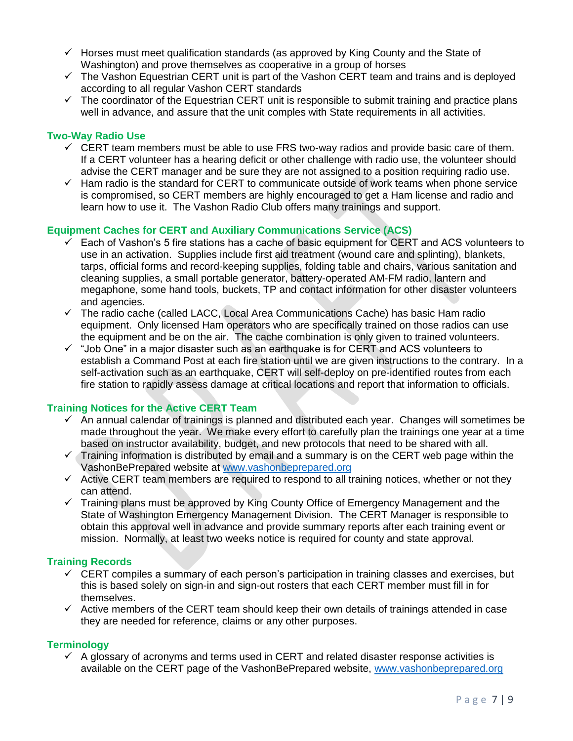- $\checkmark$  Horses must meet qualification standards (as approved by King County and the State of Washington) and prove themselves as cooperative in a group of horses
- $\checkmark$  The Vashon Equestrian CERT unit is part of the Vashon CERT team and trains and is deployed according to all regular Vashon CERT standards
- $\checkmark$  The coordinator of the Equestrian CERT unit is responsible to submit training and practice plans well in advance, and assure that the unit comples with State requirements in all activities.

#### **Two-Way Radio Use**

- $\checkmark$  CERT team members must be able to use FRS two-way radios and provide basic care of them. If a CERT volunteer has a hearing deficit or other challenge with radio use, the volunteer should advise the CERT manager and be sure they are not assigned to a position requiring radio use.
- $\checkmark$  Ham radio is the standard for CERT to communicate outside of work teams when phone service is compromised, so CERT members are highly encouraged to get a Ham license and radio and learn how to use it. The Vashon Radio Club offers many trainings and support.

### **Equipment Caches for CERT and Auxiliary Communications Service (ACS)**

- $\checkmark$  Each of Vashon's 5 fire stations has a cache of basic equipment for CERT and ACS volunteers to use in an activation. Supplies include first aid treatment (wound care and splinting), blankets, tarps, official forms and record-keeping supplies, folding table and chairs, various sanitation and cleaning supplies, a small portable generator, battery-operated AM-FM radio, lantern and megaphone, some hand tools, buckets, TP and contact information for other disaster volunteers and agencies.
- $\checkmark$  The radio cache (called LACC, Local Area Communications Cache) has basic Ham radio equipment. Only licensed Ham operators who are specifically trained on those radios can use the equipment and be on the air. The cache combination is only given to trained volunteers.
- $\checkmark$  "Job One" in a major disaster such as an earthquake is for CERT and ACS volunteers to establish a Command Post at each fire station until we are given instructions to the contrary. In a self-activation such as an earthquake, CERT will self-deploy on pre-identified routes from each fire station to rapidly assess damage at critical locations and report that information to officials.

#### **Training Notices for the Active CERT Team**

- $\checkmark$  An annual calendar of trainings is planned and distributed each year. Changes will sometimes be made throughout the year. We make every effort to carefully plan the trainings one year at a time based on instructor availability, budget, and new protocols that need to be shared with all.
- $\checkmark$  Training information is distributed by email and a summary is on the CERT web page within the VashonBePrepared website at [www.vashonbeprepared.org](http://www.vashonbeprepared.org/)
- $\checkmark$  Active CERT team members are required to respond to all training notices, whether or not they can attend.
- $\checkmark$  Training plans must be approved by King County Office of Emergency Management and the State of Washington Emergency Management Division. The CERT Manager is responsible to obtain this approval well in advance and provide summary reports after each training event or mission. Normally, at least two weeks notice is required for county and state approval.

#### **Training Records**

- $\checkmark$  CERT compiles a summary of each person's participation in training classes and exercises, but this is based solely on sign-in and sign-out rosters that each CERT member must fill in for themselves.
- $\checkmark$  Active members of the CERT team should keep their own details of trainings attended in case they are needed for reference, claims or any other purposes.

# **Terminology**

 $\checkmark$  A glossary of acronyms and terms used in CERT and related disaster response activities is available on the CERT page of the VashonBePrepared website, [www.vashonbeprepared.org](http://www.vashonbeprepared.org/)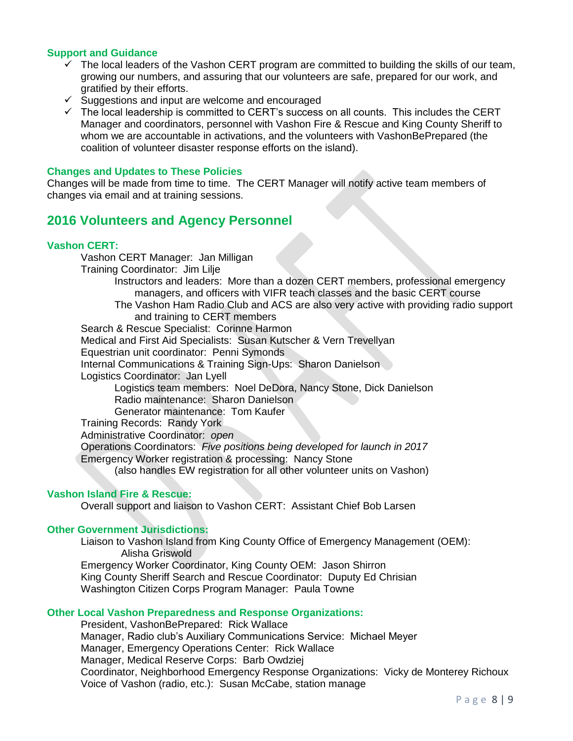#### **Support and Guidance**

- $\checkmark$  The local leaders of the Vashon CERT program are committed to building the skills of our team, growing our numbers, and assuring that our volunteers are safe, prepared for our work, and gratified by their efforts.
- $\checkmark$  Suggestions and input are welcome and encouraged
- $\checkmark$  The local leadership is committed to CERT's success on all counts. This includes the CERT Manager and coordinators, personnel with Vashon Fire & Rescue and King County Sheriff to whom we are accountable in activations, and the volunteers with VashonBePrepared (the coalition of volunteer disaster response efforts on the island).

#### **Changes and Updates to These Policies**

Changes will be made from time to time. The CERT Manager will notify active team members of changes via email and at training sessions.

# **2016 Volunteers and Agency Personnel**

#### **Vashon CERT:**

Vashon CERT Manager: Jan Milligan Training Coordinator: Jim Lilje Instructors and leaders: More than a dozen CERT members, professional emergency managers, and officers with VIFR teach classes and the basic CERT course The Vashon Ham Radio Club and ACS are also very active with providing radio support and training to CERT members Search & Rescue Specialist: Corinne Harmon Medical and First Aid Specialists: Susan Kutscher & Vern Trevellyan Equestrian unit coordinator: Penni Symonds Internal Communications & Training Sign-Ups: Sharon Danielson Logistics Coordinator: Jan Lyell Logistics team members: Noel DeDora, Nancy Stone, Dick Danielson Radio maintenance: Sharon Danielson Generator maintenance: Tom Kaufer Training Records: Randy York Administrative Coordinator: *open* Operations Coordinators: *Five positions being developed for launch in 2017* Emergency Worker registration & processing: Nancy Stone (also handles EW registration for all other volunteer units on Vashon) **Vashon Island Fire & Rescue:**

Overall support and liaison to Vashon CERT: Assistant Chief Bob Larsen

#### **Other Government Jurisdictions:**

Liaison to Vashon Island from King County Office of Emergency Management (OEM): Alisha Griswold

Emergency Worker Coordinator, King County OEM: Jason Shirron King County Sheriff Search and Rescue Coordinator: Duputy Ed Chrisian Washington Citizen Corps Program Manager: Paula Towne

# **Other Local Vashon Preparedness and Response Organizations:**

President, VashonBePrepared: Rick Wallace Manager, Radio club's Auxiliary Communications Service: Michael Meyer Manager, Emergency Operations Center: Rick Wallace Manager, Medical Reserve Corps: Barb Owdziej Coordinator, Neighborhood Emergency Response Organizations: Vicky de Monterey Richoux Voice of Vashon (radio, etc.): Susan McCabe, station manage